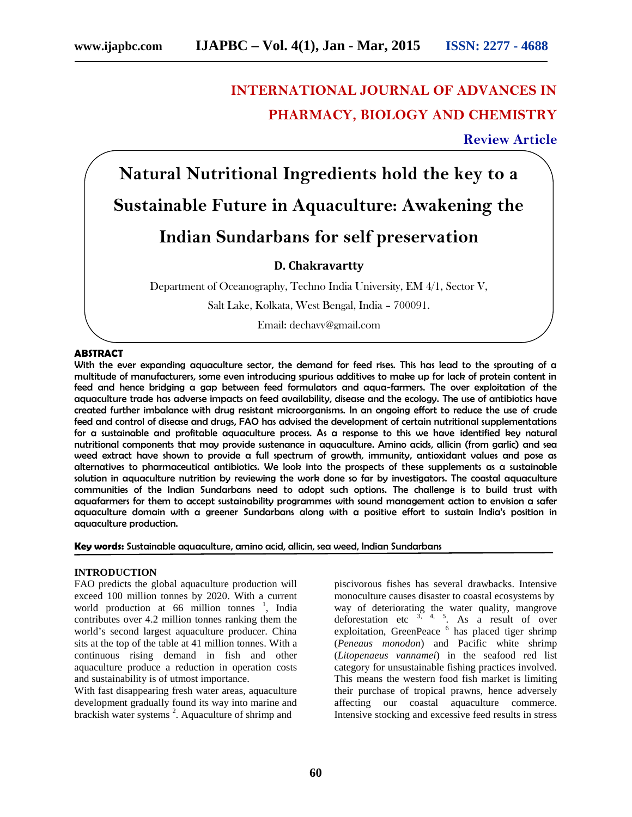# **INTERNATIONAL JOURNAL OF ADVANCES IN PHARMACY, BIOLOGY AND CHEMISTRY**

**Review Article**

**Natural Nutritional Ingredients hold the key to a Sustainable Future in Aquaculture: Awakening the Indian Sundarbans for self preservation**

# **D. Chakravartty**

Department of Oceanography, Techno India University, EM 4/1, Sector V,

Salt Lake, Kolkata, West Bengal, India – 700091.

Email: dechavy@gmail.com

#### **ABSTRACT**

With the ever expanding aquaculture sector, the demand for feed rises. This has lead to the sprouting of a multitude of manufacturers, some even introducing spurious additives to make up for lack of protein content in feed and hence bridging a gap between feed formulators and aqua-farmers. The over exploitation of the aquaculture trade has adverse impacts on feed availability, disease and the ecology. The use of antibiotics have created further imbalance with drug resistant microorganisms. In an ongoing effort to reduce the use of crude feed and control of disease and drugs, FAO has advised the development of certain nutritional supplementations for a sustainable and profitable aquaculture process. As a response to this we have identified key natural nutritional components that may provide sustenance in aquaculture. Amino acids, allicin (from garlic) and sea weed extract have shown to provide a full spectrum of growth, immunity, antioxidant values and pose as alternatives to pharmaceutical antibiotics. We look into the prospects of these supplements as a sustainable solution in aquaculture nutrition by reviewing the work done so far by investigators. The coastal aquaculture communities of the Indian Sundarbans need to adopt such options. The challenge is to build trust with aquafarmers for them to accept sustainability programmes with sound management action to envision a safer aquaculture domain with a greener Sundarbans along with a positive effort to sustain India's position in aquaculture production.

**Key words:** Sustainable aquaculture, amino acid, allicin, sea weed, Indian Sundarbans

#### **INTRODUCTION**

FAO predicts the global aquaculture production will exceed 100 million tonnes by 2020. With a current world production at 66 million tonnes  $\frac{1}{1}$ , India contributes over 4.2 million tonnes ranking them the world's second largest aquaculture producer. China sits at the top of the table at 41 million tonnes. With a continuous rising demand in fish and other aquaculture produce a reduction in operation costs and sustainability is of utmost importance.

With fast disappearing fresh water areas, aquaculture development gradually found its way into marine and brackish water systems<sup>2</sup>. Aquaculture of shrimp and

piscivorous fishes has several drawbacks. Intensive monoculture causes disaster to coastal ecosystems by way of deteriorating the water quality, mangrove deforestation etc  $3, 4, 5$ . As a result of over exploitation, GreenPeace  $<sup>6</sup>$  has placed tiger shrimp</sup> (*Peneaus monodon*) and Pacific white shrimp (*Litopenaeus vannamei*) in the seafood red list category for unsustainable fishing practices involved. This means the western food fish market is limiting their purchase of tropical prawns, hence adversely affecting our coastal aquaculture commerce. Intensive stocking and excessive feed results in stress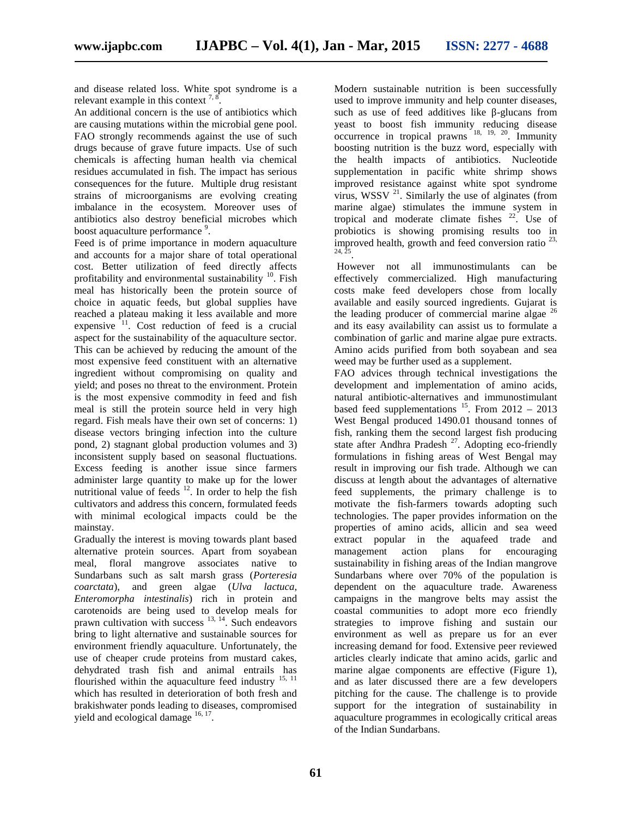and disease related loss. White spot syndrome is a relevant example in this context  $^{7,8}$ .

An additional concern is the use of antibiotics which are causing mutations within the microbial gene pool. FAO strongly recommends against the use of such drugs because of grave future impacts. Use of such chemicals is affecting human health via chemical residues accumulated in fish. The impact has serious consequences for the future. Multiple drug resistant strains of microorganisms are evolving creating imbalance in the ecosystem. Moreover uses of antibiotics also destroy beneficial microbes which boost aquaculture performance <sup>9</sup>.

Feed is of prime importance in modern aquaculture and accounts for a major share of total operational cost. Better utilization of feed directly affects profitability and environmental sustainability  $^{10}$ . Fish meal has historically been the protein source of choice in aquatic feeds, but global supplies have reached a plateau making it less available and more expensive  $11$ . Cost reduction of feed is a crucial aspect for the sustainability of the aquaculture sector. This can be achieved by reducing the amount of the most expensive feed constituent with an alternative ingredient without compromising on quality and yield; and poses no threat to the environment. Protein is the most expensive commodity in feed and fish meal is still the protein source held in very high regard. Fish meals have their own set of concerns: 1) disease vectors bringing infection into the culture pond, 2) stagnant global production volumes and 3) inconsistent supply based on seasonal fluctuations. Excess feeding is another issue since farmers administer large quantity to make up for the lower nutritional value of feeds  $12$ . In order to help the fish cultivators and address this concern, formulated feeds with minimal ecological impacts could be the mainstay.

Gradually the interest is moving towards plant based alternative protein sources. Apart from soyabean meal, floral mangrove associates native to Sundarbans such as salt marsh grass (*Porteresia coarctata*), and green algae (*Ulva lactuca*, *Enteromorpha intestinalis*) rich in protein and carotenoids are being used to develop meals for prawn cultivation with success <sup>13, 14</sup>. Such endeavors bring to light alternative and sustainable sources for environment friendly aquaculture. Unfortunately, the use of cheaper crude proteins from mustard cakes, dehydrated trash fish and animal entrails has flourished within the aquaculture feed industry <sup>15, 11</sup> which has resulted in deterioration of both fresh and brakishwater ponds leading to diseases, compromised yield and ecological damage <sup>16, 17</sup>.

Modern sustainable nutrition is been successfully used to improve immunity and help counter diseases, such as use of feed additives like -glucans from yeast to boost fish immunity reducing disease  $\alpha$  occurrence in tropical prawns  $^{18, 19, 20}$ . Immunity boosting nutrition is the buzz word, especially with the health impacts of antibiotics. Nucleotide supplementation in pacific white shrimp shows improved resistance against white spot syndrome virus, WSSV  $^{21}$ . Similarly the use of alginates (from marine algae) stimulates the immune system in tropical and moderate climate fishes  $22$ . Use of probiotics is showing promising results too in improved health, growth and feed conversion ratio  $^{23}$ , 24, 25 .

However not all immunostimulants can be effectively commercialized. High manufacturing costs make feed developers chose from locally available and easily sourced ingredients. Gujarat is the leading producer of commercial marine algae  $^{26}$ and its easy availability can assist us to formulate a combination of garlic and marine algae pure extracts. Amino acids purified from both soyabean and sea weed may be further used as a supplement.

FAO advices through technical investigations the development and implementation of amino acids, natural antibiotic-alternatives and immunostimulant based feed supplementations  $^{15}$ . From 2012 - 2013 West Bengal produced 1490.01 thousand tonnes of fish, ranking them the second largest fish producing state after Andhra Pradesh<sup>27</sup>. Adopting eco-friendly formulations in fishing areas of West Bengal may result in improving our fish trade. Although we can discuss at length about the advantages of alternative feed supplements, the primary challenge is to motivate the fish-farmers towards adopting such technologies. The paper provides information on the properties of amino acids, allicin and sea weed extract popular in the aquafeed trade and management action plans for encouraging sustainability in fishing areas of the Indian mangrove Sundarbans where over 70% of the population is dependent on the aquaculture trade. Awareness campaigns in the mangrove belts may assist the coastal communities to adopt more eco friendly strategies to improve fishing and sustain our environment as well as prepare us for an ever increasing demand for food. Extensive peer reviewed articles clearly indicate that amino acids, garlic and marine algae components are effective (Figure 1), and as later discussed there are a few developers pitching for the cause. The challenge is to provide support for the integration of sustainability in aquaculture programmes in ecologically critical areas of the Indian Sundarbans.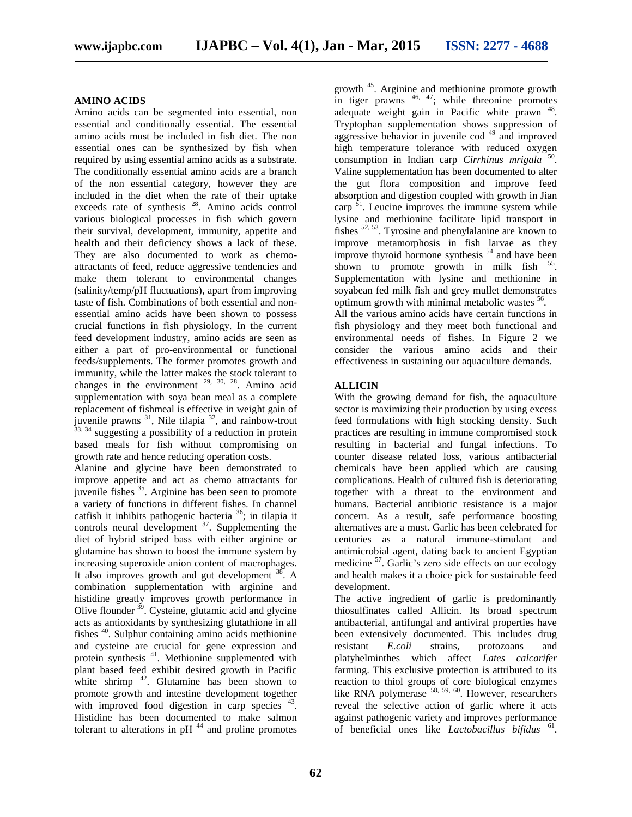## **AMINO ACIDS**

Amino acids can be segmented into essential, non essential and conditionally essential. The essential amino acids must be included in fish diet. The non essential ones can be synthesized by fish when required by using essential amino acids as a substrate. The conditionally essential amino acids are a branch of the non essential category, however they are included in the diet when the rate of their uptake exceeds rate of synthesis  $28$ . Amino acids control various biological processes in fish which govern their survival, development, immunity, appetite and health and their deficiency shows a lack of these. They are also documented to work as chemo attractants of feed, reduce aggressive tendencies and make them tolerant to environmental changes (salinity/temp/pH fluctuations), apart from improving taste of fish. Combinations of both essential and non essential amino acids have been shown to possess crucial functions in fish physiology. In the current feed development industry, amino acids are seen as either a part of pro-environmental or functional feeds/supplements. The former promotes growth and immunity, while the latter makes the stock tolerant to changes in the environment  $29, 30, 28$ . Amino acid supplementation with soya bean meal as a complete replacement of fishmeal is effective in weight gain of juvenile prawns  $^{31}$ , Nile tilapia  $^{32}$ , and rainbow-trout  $^{33, 34}$  suggesting a possibility of a reduction in protein based meals for fish without compromising on growth rate and hence reducing operation costs.

Alanine and glycine have been demonstrated to improve appetite and act as chemo attractants for juvenile fishes  $35$ . Arginine has been seen to promote a variety of functions in different fishes. In channel catfish it inhibits pathogenic bacteria <sup>36</sup>; in tilapia it controls neural development  $3^7$ . Supplementing the diet of hybrid striped bass with either arginine or glutamine has shown to boost the immune system by increasing superoxide anion content of macrophages. It also improves growth and gut development  $38$ . A and combination supplementation with arginine and histidine greatly improves growth performance in  $\frac{1}{2}$  Cysteine, glutamic acid and glycine acts as antioxidants by synthesizing glutathione in all fishes <sup>40</sup>. Sulphur containing amino acids methionine and cysteine are crucial for gene expression and protein synthesis <sup>41</sup>. Methionine supplemented with plant based feed exhibit desired growth in Pacific white shrimp  $4^2$ . Glutamine has been shown to promote growth and intestine development together with improved food digestion in carp species  $43$ . Histidine has been documented to make salmon tolerant to alterations in  $pH$ <sup>44</sup> and proline promotes

growth <sup>45</sup> . Arginine and methionine promote growth in tiger prawns  $46, 47$ ; while threonine promotes adequate weight gain in Pacific white prawn <sup>48</sup>. Tryptophan supplementation shows suppression of aggressive behavior in juvenile cod  $49$  and improved high temperature tolerance with reduced oxygen consumption in Indian carp *Cirrhinus mrigala* <sup>50</sup> . Valine supplementation has been documented to alter the gut flora composition and improve feed absorption and digestion coupled with growth in Jian carp  $5<sup>1</sup>$ . Leucine improves the immune system while lysine and methionine facilitate lipid transport in fishes  $52, 53$ . Tyrosine and phenylalanine are known to improve metamorphosis in fish larvae as they improve thyroid hormone synthesis  $54$  and have been shown to promote growth in milk fish  $55$ . Supplementation with lysine and methionine in soyabean fed milk fish and grey mullet demonstrates optimum growth with minimal metabolic wastes <sup>56</sup>.

All the various amino acids have certain functions in fish physiology and they meet both functional and environmental needs of fishes. In Figure 2 we consider the various amino acids and their effectiveness in sustaining our aquaculture demands.

## **ALLICIN**

With the growing demand for fish, the aquaculture sector is maximizing their production by using excess feed formulations with high stocking density. Such practices are resulting in immune compromised stock resulting in bacterial and fungal infections. To counter disease related loss, various antibacterial chemicals have been applied which are causing complications. Health of cultured fish is deteriorating together with a threat to the environment and humans. Bacterial antibiotic resistance is a major concern. As a result, safe performance boosting alternatives are a must. Garlic has been celebrated for centuries as a natural immune-stimulant and antimicrobial agent, dating back to ancient Egyptian medicine <sup>57</sup>. Garlic's zero side effects on our ecology and health makes it a choice pick for sustainable feed development.

The active ingredient of garlic is predominantly thiosulfinates called Allicin. Its broad spectrum antibacterial, antifungal and antiviral properties have been extensively documented. This includes drug *E.coli* strains, protozoans and platyhelminthes which affect *Lates calcarifer* farming. This exclusive protection is attributed to its reaction to thiol groups of core biological enzymes like RNA polymerase  $58, 59, 60$ . However, researchers reveal the selective action of garlic where it acts against pathogenic variety and improves performance of beneficial ones like *Lactobacillus bifidus* <sup>61</sup> .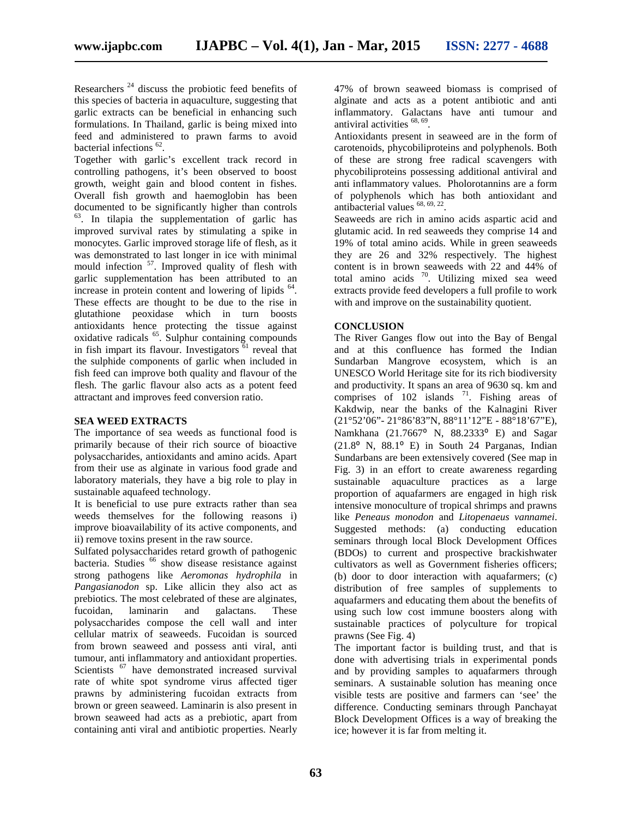Researchers <sup>24</sup> discuss the probiotic feed benefits of this species of bacteria in aquaculture, suggesting that garlic extracts can be beneficial in enhancing such formulations. In Thailand, garlic is being mixed into feed and administered to prawn farms to avoid bacterial infections <sup>62</sup>.

Together with garlic's excellent track record in controlling pathogens, it's been observed to boost growth, weight gain and blood content in fishes. Overall fish growth and haemoglobin has been documented to be significantly higher than controls 63 . In tilapia the supplementation of garlic has improved survival rates by stimulating a spike in monocytes. Garlic improved storage life of flesh, as it was demonstrated to last longer in ice with minimal mould infection <sup>57</sup>. Improved quality of flesh with garlic supplementation has been attributed to an increase in protein content and lowering of lipids <sup>64</sup>. These effects are thought to be due to the rise in glutathione peoxidase which in turn boosts antioxidants hence protecting the tissue against oxidative radicals <sup>65</sup> . Sulphur containing compounds in fish impart its flavour. Investigators  $\overline{61}$  reveal that the sulphide components of garlic when included in fish feed can improve both quality and flavour of the flesh. The garlic flavour also acts as a potent feed attractant and improves feed conversion ratio.

## **SEA WEED EXTRACTS**

The importance of sea weeds as functional food is primarily because of their rich source of bioactive polysaccharides, antioxidants and amino acids. Apart from their use as alginate in various food grade and laboratory materials, they have a big role to play in sustainable aquafeed technology.

It is beneficial to use pure extracts rather than sea weeds themselves for the following reasons i) improve bioavailability of its active components, and ii) remove toxins present in the raw source.

Sulfated polysaccharides retard growth of pathogenic bacteria. Studies <sup>66</sup> show disease resistance against strong pathogens like *Aeromonas hydrophila* in *Pangasianodon* sp. Like allicin they also act as prebiotics. The most celebrated of these are alginates, fucoidan, laminarin and galactans. These polysaccharides compose the cell wall and inter cellular matrix of seaweeds. Fucoidan is sourced from brown seaweed and possess anti viral, anti tumour, anti inflammatory and antioxidant properties. Scientists <sup>67</sup> have demonstrated increased survival rate of white spot syndrome virus affected tiger prawns by administering fucoidan extracts from brown or green seaweed. Laminarin is also present in brown seaweed had acts as a prebiotic, apart from containing anti viral and antibiotic properties. Nearly

47% of brown seaweed biomass is comprised of alginate and acts as a potent antibiotic and anti inflammatory. Galactans have anti tumour and antiviral activities <sup>68, 69</sup>.

Antioxidants present in seaweed are in the form of carotenoids, phycobiliproteins and polyphenols. Both of these are strong free radical scavengers with phycobiliproteins possessing additional antiviral and anti inflammatory values. Pholorotannins are a form of polyphenols which has both antioxidant and antibacterial values <sup>68, 69, 22</sup>.

Seaweeds are rich in amino acids aspartic acid and glutamic acid. In red seaweeds they comprise 14 and 19% of total amino acids. While in green seaweeds they are 26 and 32% respectively. The highest content is in brown seaweeds with 22 and 44% of total amino acids <sup>70</sup>. Utilizing mixed sea weed extracts provide feed developers a full profile to work with and improve on the sustainability quotient.

### **CONCLUSION**

The River Ganges flow out into the Bay of Bengal and at this confluence has formed the Indian Sundarban Mangrove ecosystem, which is an UNESCO World Heritage site for its rich biodiversity and productivity. It spans an area of 9630 sq. km and comprises of  $102$  islands  $71$ . Fishing areas of Kakdwip, near the banks of the Kalnagini River (21°52'06"- 21°86'83"N, 88°11'12"E - 88°18'67"E), Namkhana (21.7667° N, 88.2333° E) and Sagar  $(21.8<sup>o</sup> N, 88.1<sup>o</sup> E)$  in South 24 Parganas, Indian Sundarbans are been extensively covered (See map in Fig. 3) in an effort to create awareness regarding sustainable aquaculture practices as a large proportion of aquafarmers are engaged in high risk intensive monoculture of tropical shrimps and prawns like *Peneaus monodon* and *Litopenaeus vannamei*. Suggested methods: (a) conducting education seminars through local Block Development Offices (BDOs) to current and prospective brackishwater cultivators as well as Government fisheries officers; (b) door to door interaction with aquafarmers; (c) distribution of free samples of supplements to aquafarmers and educating them about the benefits of using such low cost immune boosters along with sustainable practices of polyculture for tropical prawns (See Fig. 4)

The important factor is building trust, and that is done with advertising trials in experimental ponds and by providing samples to aquafarmers through seminars. A sustainable solution has meaning once visible tests are positive and farmers can 'see' the difference. Conducting seminars through Panchayat Block Development Offices is a way of breaking the ice; however it is far from melting it.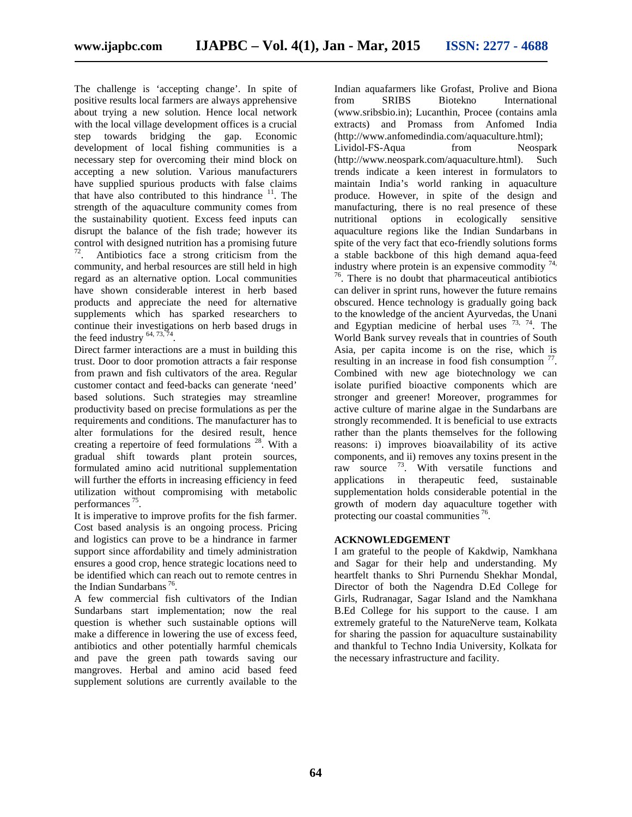The challenge is 'accepting change'. In spite of positive results local farmers are always apprehensive about trying a new solution. Hence local network with the local village development offices is a crucial step towards bridging the gap. Economic development of local fishing communities is a necessary step for overcoming their mind block on accepting a new solution. Various manufacturers have supplied spurious products with false claims that have also contributed to this hindrance  $11$ . The strength of the aquaculture community comes from the sustainability quotient. Excess feed inputs can disrupt the balance of the fish trade; however its control with designed nutrition has a promising future 72 . Antibiotics face a strong criticism from the community, and herbal resources are still held in high regard as an alternative option. Local communities have shown considerable interest in herb based products and appreciate the need for alternative supplements which has sparked researchers to continue their investigations on herb based drugs in the feed industry  $^{64, 73, 74}$ .

Direct farmer interactions are a must in building this trust. Door to door promotion attracts a fair response from prawn and fish cultivators of the area. Regular customer contact and feed-backs can generate 'need' based solutions. Such strategies may streamline productivity based on precise formulations as per the requirements and conditions. The manufacturer has to alter formulations for the desired result, hence creating a repertoire of feed formulations  $^{28}$ . With a gradual shift towards plant protein sources, formulated amino acid nutritional supplementation will further the efforts in increasing efficiency in feed utilization without compromising with metabolic performances<sup>75</sup>.

.It is imperative to improve profits for the fish farmer. Cost based analysis is an ongoing process. Pricing and logistics can prove to be a hindrance in farmer support since affordability and timely administration ensures a good crop, hence strategic locations need to be identified which can reach out to remote centres in the Indian Sundarbans<sup>76</sup>.

.A few commercial fish cultivators of the Indian Sundarbans start implementation; now the real question is whether such sustainable options will make a difference in lowering the use of excess feed, antibiotics and other potentially harmful chemicals and pave the green path towards saving our mangroves. Herbal and amino acid based feed supplement solutions are currently available to the

Indian aquafarmers like Grofast, Prolive and Biona from SRIBS Biotekno International (www.sribsbio.in); Lucanthin, Procee (contains amla extracts) and Promass from Anfomed India (http://www.anfomedindia.com/aquaculture.html); Lividol-FS-Aqua from Neospark (http://www.neospark.com/aquaculture.html). Such trends indicate a keen interest in formulators to maintain India's world ranking in aquaculture produce. However, in spite of the design and manufacturing, there is no real presence of these nutritional options in ecologically sensitive aquaculture regions like the Indian Sundarbans in spite of the very fact that eco-friendly solutions forms a stable backbone of this high demand aqua-feed industry where protein is an expensive commodity  $74$ ,  $\frac{76}{6}$ . There is no doubt that pharmaceutical antibiotics

can deliver in sprint runs, however the future remains obscured. Hence technology is gradually going back to the knowledge of the ancient Ayurvedas, the Unani and Egyptian medicine of herbal uses  $^{73}$ ,  $^{74}$ . The World Bank survey reveals that in countries of South Asia, per capita income is on the rise, which is resulting in an increase in food fish consumption  $77$ . Combined with new age biotechnology we can isolate purified bioactive components which are stronger and greener! Moreover, programmes for active culture of marine algae in the Sundarbans are strongly recommended. It is beneficial to use extracts rather than the plants themselves for the following reasons: i) improves bioavailability of its active components, and ii) removes any toxins present in the raw source  $^{73}$ . With versatile functions and applications in therapeutic feed, sustainable supplementation holds considerable potential in the growth of modern day aquaculture together with protecting our coastal communities <sup>76</sup>.

## **ACKNOWLEDGEMENT**

I am grateful to the people of Kakdwip, Namkhana and Sagar for their help and understanding. My heartfelt thanks to Shri Purnendu Shekhar Mondal, Director of both the Nagendra D.Ed College for Girls, Rudranagar, Sagar Island and the Namkhana B.Ed College for his support to the cause. I am extremely grateful to the NatureNerve team, Kolkata for sharing the passion for aquaculture sustainability and thankful to Techno India University, Kolkata for the necessary infrastructure and facility.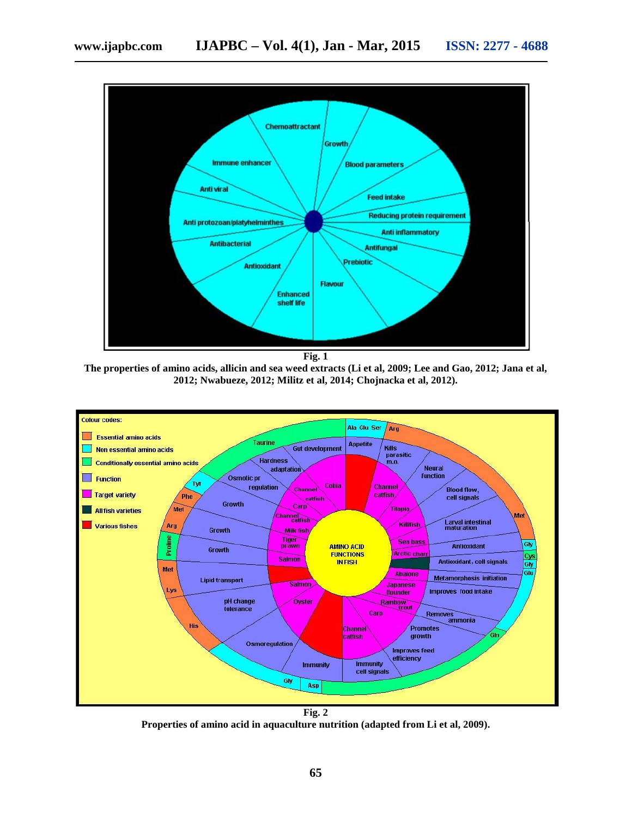

**Fig. 1**

**The properties of amino acids, allicin and sea weed extracts (Li et al, 2009; Lee and Gao, 2012; Jana et al, 2012; Nwabueze, 2012; Militz et al, 2014; Chojnacka et al, 2012).**



**Fig. 2 Properties of amino acid in aquaculture nutrition (adapted from Li et al, 2009).**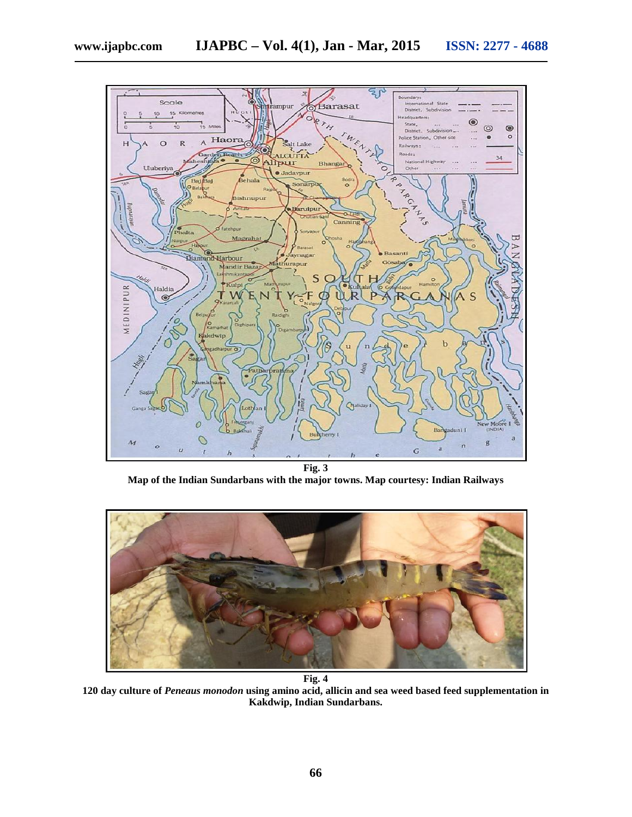

**Map of the Indian Sundarbans with the major towns. Map courtesy: Indian Railways**



**Fig. 4**

**120 day culture of** *Peneaus monodon* **using amino acid, allicin and sea weed based feed supplementation in Kakdwip, Indian Sundarbans.**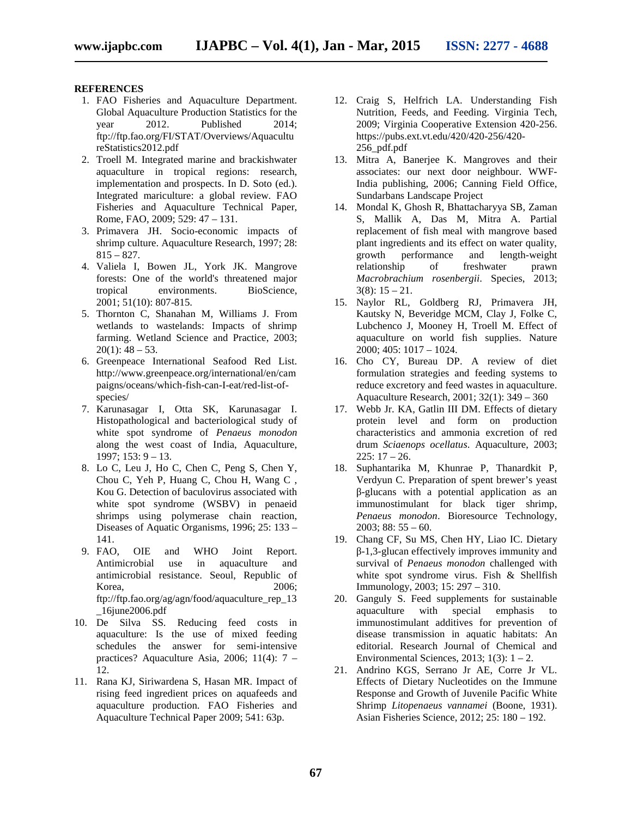#### **REFERENCES**

- 1. FAO Fisheries and Aquaculture Department. Global Aquaculture Production Statistics for the year 2012. Published 2014; ftp://ftp.fao.org/FI/STAT/Overviews/Aquacultu reStatistics2012.pdf
- 2. Troell M. Integrated marine and brackishwater aquaculture in tropical regions: research, implementation and prospects. In D. Soto (ed.). Integrated mariculture: a global review. FAO Fisheries and Aquaculture Technical Paper, Rome, FAO, 2009; 529: 47 – 131.
- 3. Primavera JH. Socio-economic impacts of shrimp culture. Aquaculture Research, 1997; 28:  $815 - 827.$
- 4. Valiela I, Bowen JL, York JK. Mangrove forests: One of the world's threatened major tropical environments. BioScience, 2001; 51(10): 807-815.
- 5. Thornton C, Shanahan M, Williams J. From wetlands to wastelands: Impacts of shrimp farming. Wetland Science and Practice, 2003;  $20(1)$ : 48 – 53.
- 6. Greenpeace International Seafood Red List. http://www.greenpeace.org/international/en/cam paigns/oceans/which-fish-can-I-eat/red-list-of species/
- 7. Karunasagar I, Otta SK, Karunasagar I. Histopathological and bacteriological study of white spot syndrome of *Penaeus monodon* along the west coast of India, Aquaculture, 1997; 153: 9 – 13.
- 8. Lo C, Leu J, Ho C, Chen C, Peng S, Chen Y, Chou C, Yeh P, Huang C, Chou H, Wang C , Kou G. Detection of baculovirus associated with white spot syndrome (WSBV) in penaeid shrimps using polymerase chain reaction, Diseases of Aquatic Organisms, 1996; 25: 133 – 141.
- 9. FAO, OIE and WHO Joint Report. Antimicrobial use in aquaculture and antimicrobial resistance. Seoul, Republic of Korea, 2006; ftp://ftp.fao.org/ag/agn/food/aquaculture\_rep\_13 \_16june2006.pdf
- 10. De Silva SS. Reducing feed costs in aquaculture: Is the use of mixed feeding schedules the answer for semi-intensive practices? Aquaculture Asia, 2006; 11(4): 7 – 12.
- 11. Rana KJ, Siriwardena S, Hasan MR. Impact of rising feed ingredient prices on aquafeeds and aquaculture production. FAO Fisheries and Aquaculture Technical Paper 2009; 541: 63p.
- 12. Craig S, Helfrich LA. Understanding Fish Nutrition, Feeds, and Feeding. Virginia Tech, 2009; Virginia Cooperative Extension 420-256. https://pubs.ext.vt.edu/420/420-256/420- 256\_pdf.pdf
- 13. Mitra A, Banerjee K. Mangroves and their associates: our next door neighbour. WWF-India publishing, 2006; Canning Field Office, Sundarbans Landscape Project
- 14. Mondal K, Ghosh R, Bhattacharyya SB, Zaman S, Mallik A, Das M, Mitra A. Partial replacement of fish meal with mangrove based plant ingredients and its effect on water quality,<br>growth performance and length-weight growth performance and length-weight relationship of freshwater prawn *Macrobrachium rosenbergii*. Species, 2013;  $3(8): 15 - 21.$
- 15. Naylor RL, Goldberg RJ, Primavera JH, Kautsky N, Beveridge MCM, Clay J, Folke C, Lubchenco J, Mooney H, Troell M. Effect of aquaculture on world fish supplies. Nature 2000; 405: 1017 – 1024.
- 16. Cho CY, Bureau DP. A review of diet formulation strategies and feeding systems to reduce excretory and feed wastes in aquaculture. Aquaculture Research, 2001; 32(1): 349 – 360
- 17. Webb Jr. KA, Gatlin III DM. Effects of dietary protein level and form on production characteristics and ammonia excretion of red drum *Sciaenops ocellatus*. Aquaculture, 2003;  $225: 17 - 26.$
- 18. Suphantarika M, Khunrae P, Thanardkit P, Verdyun C. Preparation of spent brewer's yeast -glucans with a potential application as an immunostimulant for black tiger shrimp, *Penaeus monodon*. Bioresource Technology,  $2003$ ; 88:  $55 - 60$ .
- 19. Chang CF, Su MS, Chen HY, Liao IC. Dietary -1,3-glucan effectively improves immunity and survival of *Penaeus monodon* challenged with white spot syndrome virus. Fish & Shellfish Immunology, 2003; 15: 297 – 310.
- 20. Ganguly S. Feed supplements for sustainable<br>aquaculture with special emphasis to aquaculture with special emphasis to immunostimulant additives for prevention of disease transmission in aquatic habitats: An editorial. Research Journal of Chemical and Environmental Sciences, 2013;  $1(3)$ :  $1 - 2$ .
- 21. Andrino KGS, Serrano Jr AE, Corre Jr VL. Effects of Dietary Nucleotides on the Immune Response and Growth of Juvenile Pacific White Shrimp *Litopenaeus vannamei* (Boone, 1931). Asian Fisheries Science, 2012; 25: 180 – 192.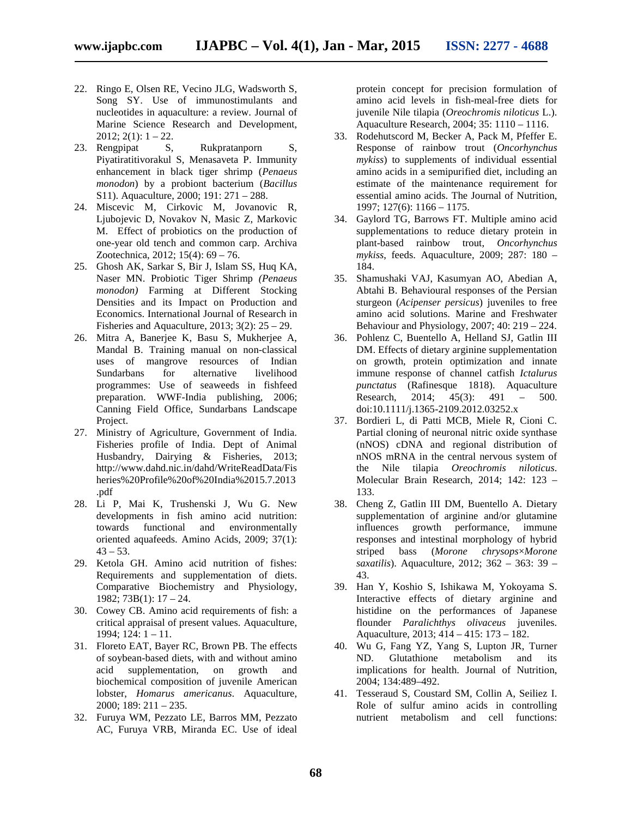- 22. Ringo E, Olsen RE, Vecino JLG, Wadsworth S, Song SY. Use of immunostimulants and nucleotides in aquaculture: a review. Journal of Marine Science Research and Development,  $2012$ ;  $2(1)$ :  $1 - 22$ .
- 23. Rengpipat S, Rukpratanporn S, Piyatiratitivorakul S, Menasaveta P. Immunity enhancement in black tiger shrimp (*Penaeus monodon*) by a probiont bacterium (*Bacillus* S11). Aquaculture, 2000; 191: 271 – 288.
- 24. Miscevic M, Cirkovic M, Jovanovic R, Ljubojevic D, Novakov N, Masic Z, Markovic M. Effect of probiotics on the production of one-year old tench and common carp. Archiva Zootechnica, 2012; 15(4): 69 – 76.
- 25. Ghosh AK, Sarkar S, Bir J, Islam SS, Huq KA, Naser MN. Probiotic Tiger Shrimp *(Penaeus monodon)* Farming at Different Stocking Densities and its Impact on Production and Economics. International Journal of Research in Fisheries and Aquaculture, 2013;  $3(2)$ :  $25 - 29$ .
- 26. Mitra A, Banerjee K, Basu S, Mukherjee A, Mandal B. Training manual on non-classical uses of mangrove resources of Indian Sundarbans for alternative livelihood programmes: Use of seaweeds in fishfeed preparation. WWF-India publishing, 2006; Canning Field Office, Sundarbans Landscape Project.
- 27. Ministry of Agriculture, Government of India. Fisheries profile of India. Dept of Animal Husbandry, Dairying & Fisheries, 2013; http://www.dahd.nic.in/dahd/WriteReadData/Fis heries%20Profile%20of%20India%2015.7.2013 .pdf
- 28. Li P, Mai K, Trushenski J, Wu G. New developments in fish amino acid nutrition: towards functional and environmentally oriented aquafeeds. Amino Acids, 2009; 37(1):  $43 - 53$ .
- 29. Ketola GH. Amino acid nutrition of fishes: Requirements and supplementation of diets. Comparative Biochemistry and Physiology, 1982; 73B(1): 17 – 24.
- 30. Cowey CB. Amino acid requirements of fish: a critical appraisal of present values. Aquaculture, 1994; 124: 1 – 11.
- 31. Floreto EAT, Bayer RC, Brown PB. The effects of soybean-based diets, with and without amino acid supplementation, on growth and biochemical composition of juvenile American lobster, *Homarus americanus*. Aquaculture, 2000; 189: 211 – 235.
- 32. Furuya WM, Pezzato LE, Barros MM, Pezzato AC, Furuya VRB, Miranda EC. Use of ideal

protein concept for precision formulation of amino acid levels in fish-meal-free diets for juvenile Nile tilapia (*Oreochromis niloticus* L.). Aquaculture Research, 2004; 35: 1110 – 1116.

- 33. Rodehutscord M, Becker A, Pack M, Pfeffer E. Response of rainbow trout (*Oncorhynchus mykiss*) to supplements of individual essential amino acids in a semipurified diet, including an estimate of the maintenance requirement for essential amino acids. The Journal of Nutrition, 1997; 127(6): 1166 – 1175.
- 34. Gaylord TG, Barrows FT. Multiple amino acid supplementations to reduce dietary protein in plant-based rainbow trout, *Oncorhynchus mykiss*, feeds. Aquaculture, 2009; 287: 180 – 184.
- 35. Shamushaki VAJ, Kasumyan AO, Abedian A, Abtahi B. Behavioural responses of the Persian sturgeon (*Acipenser persicus*) juveniles to free amino acid solutions. Marine and Freshwater Behaviour and Physiology, 2007; 40: 219 – 224.
- 36. Pohlenz C, Buentello A, Helland SJ, Gatlin III DM. Effects of dietary arginine supplementation on growth, protein optimization and innate immune response of channel catfish *Ictalurus punctatus* (Rafinesque 1818). Aquaculture Research, 2014; 45(3): 491 – 500. doi:10.1111/j.1365-2109.2012.03252.x
- 37. Bordieri L, di Patti MCB, Miele R, Cioni C. Partial cloning of neuronal nitric oxide synthase (nNOS) cDNA and regional distribution of nNOS mRNA in the central nervous system of the Nile tilapia *Oreochromis niloticus*. Molecular Brain Research, 2014; 142: 123 – 133.
- 38. Cheng Z, Gatlin III DM, Buentello A. Dietary supplementation of arginine and/or glutamine influences growth performance, immune responses and intestinal morphology of hybrid striped bass (*Morone chrysops*×*Morone saxatilis*). Aquaculture, 2012; 362 – 363: 39 – 43.
- 39. Han Y, Koshio S, Ishikawa M, Yokoyama S. Interactive effects of dietary arginine and histidine on the performances of Japanese flounder *Paralichthys olivaceus* juveniles. Aquaculture, 2013; 414 – 415: 173 – 182.
- 40. Wu G, Fang YZ, Yang S, Lupton JR, Turner ND. Glutathione metabolism and its implications for health. Journal of Nutrition, 2004; 134:489–492.
- 41. Tesseraud S, Coustard SM, Collin A, Seiliez I. Role of sulfur amino acids in controlling nutrient metabolism and cell functions: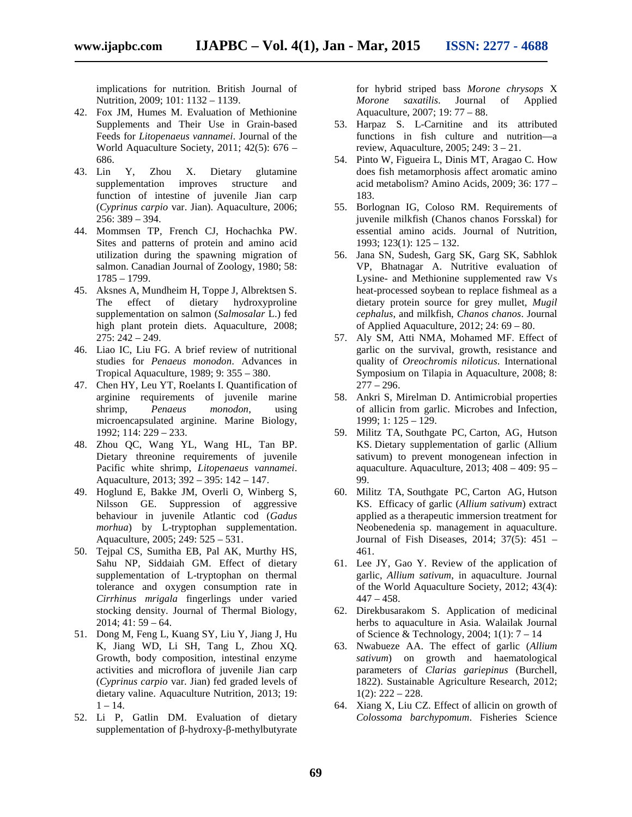implications for nutrition. British Journal of Nutrition, 2009; 101: 1132 – 1139.

- 42. Fox JM, Humes M. Evaluation of Methionine Supplements and Their Use in Grain-based Feeds for *Litopenaeus vannamei*. Journal of the World Aquaculture Society, 2011; 42(5): 676 – 686.
- 43. Lin Y, Zhou X. Dietary glutamine supplementation improves structure and function of intestine of juvenile Jian carp (*Cyprinus carpio* var. Jian). Aquaculture, 2006; 256: 389 – 394.
- 44. Mommsen TP, French CJ, Hochachka PW. Sites and patterns of protein and amino acid utilization during the spawning migration of salmon. Canadian Journal of Zoology, 1980; 58: 1785 – 1799.
- 45. Aksnes A, Mundheim H, Toppe J, Albrektsen S. The effect of dietary hydroxyproline supplementation on salmon (*Salmosalar* L.) fed high plant protein diets. Aquaculture, 2008;  $275: 242 - 249.$
- 46. Liao IC, Liu FG. A brief review of nutritional studies for *Penaeus monodon*. Advances in Tropical Aquaculture, 1989; 9: 355 – 380.
- 47. Chen HY, Leu YT, Roelants I. Quantification of arginine requirements of juvenile marine shrimp, *Penaeus monodon*, using microencapsulated arginine. Marine Biology, 1992; 114: 229 – 233.
- 48. Zhou QC, Wang YL, Wang HL, Tan BP. Dietary threonine requirements of juvenile Pacific white shrimp, *Litopenaeus vannamei*. Aquaculture, 2013; 392 – 395: 142 – 147.
- 49. Hoglund E, Bakke JM, Overli O, Winberg S, Nilsson GE. Suppression of aggressive behaviour in juvenile Atlantic cod (*Gadus morhua*) by L-tryptophan supplementation. Aquaculture, 2005; 249: 525 – 531.
- 50. Tejpal CS, Sumitha EB, Pal AK, Murthy HS, Sahu NP, Siddaiah GM. Effect of dietary supplementation of L-tryptophan on thermal tolerance and oxygen consumption rate in *Cirrhinus mrigala* fingerlings under varied stocking density. Journal of Thermal Biology,  $2014$ ; 41: 59 – 64.
- 51. Dong M, Feng L, Kuang SY, Liu Y, Jiang J, Hu K, Jiang WD, Li SH, Tang L, Zhou XQ. Growth, body composition, intestinal enzyme activities and microflora of juvenile Jian carp (*Cyprinus carpio* var. Jian) fed graded levels of dietary valine. Aquaculture Nutrition, 2013; 19:  $1 - 14.$
- 52. Li P, Gatlin DM. Evaluation of dietary supplementation of -hydroxy- -methylbutyrate

for hybrid striped bass *Morone chrysops* X *Morone saxatilis*. Journal of Applied Aquaculture, 2007; 19: 77 – 88.

- 53. Harpaz S. L-Carnitine and its attributed functions in fish culture and nutrition—a review, Aquaculture, 2005; 249: 3 – 21.
- 54. Pinto W, Figueira L, Dinis MT, Aragao C. How does fish metamorphosis affect aromatic amino acid metabolism? Amino Acids, 2009; 36: 177 – 183.
- 55. Borlognan IG, Coloso RM. Requirements of juvenile milkfish (Chanos chanos Forsskal) for essential amino acids. Journal of Nutrition, 1993; 123(1): 125 – 132.
- 56. Jana SN, Sudesh, Garg SK, Garg SK, Sabhlok VP, Bhatnagar A. Nutritive evaluation of Lysine- and Methionine supplemented raw Vs heat-processed soybean to replace fishmeal as a dietary protein source for grey mullet, *Mugil cephalus*, and milkfish, *Chanos chanos*. Journal of Applied Aquaculture, 2012; 24: 69 – 80.
- 57. Aly SM, Atti NMA, Mohamed MF. Effect of garlic on the survival, growth, resistance and quality of *Oreochromis niloticus*. International Symposium on Tilapia in Aquaculture, 2008; 8:  $277 - 296.$
- 58. Ankri S, Mirelman D. Antimicrobial properties of allicin from garlic. Microbes and Infection, 1999; 1: 125 – 129.
- 59. Militz TA, Southgate PC, Carton, AG, Hutson KS. Dietary supplementation of garlic (Allium sativum) to prevent monogenean infection in aquaculture. Aquaculture, 2013; 408 – 409: 95 – 99.
- 60. Militz TA, Southgate PC, Carton AG, Hutson KS. Efficacy of garlic (*Allium sativum*) extract applied as a therapeutic immersion treatment for Neobenedenia sp. management in aquaculture. Journal of Fish Diseases, 2014; 37(5): 451 – 461.
- 61. Lee JY, Gao Y. Review of the application of garlic, *Allium sativum*, in aquaculture. Journal of the World Aquaculture Society, 2012; 43(4):  $447 - 458$ .
- 62. Direkbusarakom S. Application of medicinal herbs to aquaculture in Asia. Walailak Journal of Science & Technology, 2004; 1(1): 7 – 14
- 63. Nwabueze AA. The effect of garlic (*Allium sativum*) on growth and haematological parameters of *Clarias gariepinus* (Burchell, 1822). Sustainable Agriculture Research, 2012;  $1(2)$ :  $222 - 228$ .
- 64. Xiang X, Liu CZ. Effect of allicin on growth of *Colossoma barchypomum*. Fisheries Science